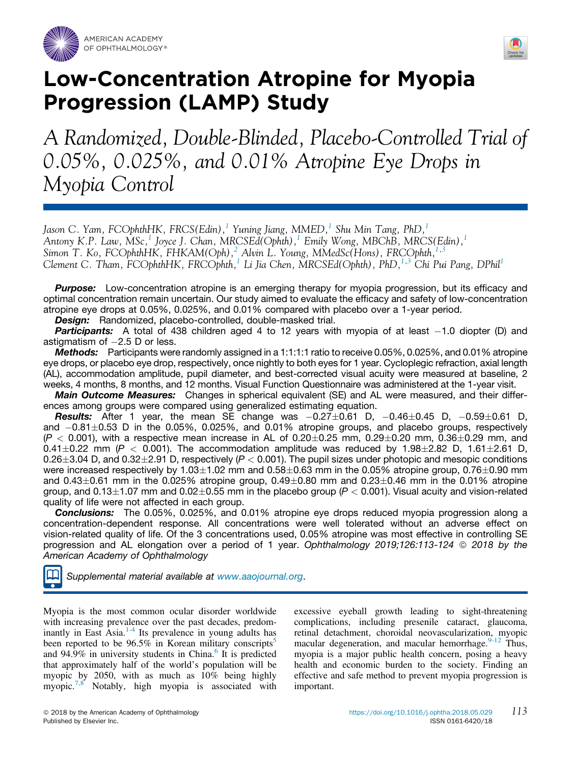



# Low-Concentration Atropine for Myopia Progression (LAMP) Study

A Randomized, Double-Blinded, Placebo-Controlled Trial of 0.05%, 0.025%, and 0.01% Atropine Eye Drops in Myopia Control

Jason C. Yam, FCOphthHK, FRCS(Edin), $^1$  $^1$  Yuning Jiang, MMED, $^1$  Shu Min Tang, PhD, $^1$ Antony K.P. Law, MSc,<sup>[1](#page-10-0)</sup> Joyce J. Chan, MRCSEd(Ophth),<sup>1</sup> Emily Wong, MBChB, MRCS(Edin),<sup>1</sup> Simon T. Ko, FCOphthHK, FHKAM(Oph),<sup>[2](#page-10-0)</sup> Alvin L. Young, MMedSc(Hons), FRCOphth,<sup>[1](#page-10-0),[3](#page-10-0)</sup> Clement C. Tham, FCOphthHK, FRCOphth,<sup>[1](#page-10-0)</sup> Li Jia Chen, MRCSEd(Ophth), PhD,<sup>[1,3](#page-10-0)</sup> Chi Pui Pang, DPhil<sup>1</sup>

**Purpose:** Low-concentration atropine is an emerging therapy for myopia progression, but its efficacy and optimal concentration remain uncertain. Our study aimed to evaluate the efficacy and safety of low-concentration atropine eye drops at 0.05%, 0.025%, and 0.01% compared with placebo over a 1-year period.

**Design:** Randomized, placebo-controlled, double-masked trial.

Participants: A total of 438 children aged 4 to 12 years with myopia of at least -1.0 diopter (D) and astigmatism of  $-2.5$  D or less.

Methods: Participants were randomly assigned in a 1:1:1:1 ratio to receive 0.05%, 0.025%, and 0.01% atropine eye drops, or placebo eye drop, respectively, once nightly to both eyes for 1 year. Cycloplegic refraction, axial length (AL), accommodation amplitude, pupil diameter, and best-corrected visual acuity were measured at baseline, 2 weeks, 4 months, 8 months, and 12 months. Visual Function Questionnaire was administered at the 1-year visit.

**Main Outcome Measures:** Changes in spherical equivalent (SE) and AL were measured, and their differences among groups were compared using generalized estimating equation.

**Results:** After 1 year, the mean SE change was  $-0.27 \pm 0.61$  D,  $-0.46 \pm 0.45$  D,  $-0.59 \pm 0.61$  D, and  $-0.81\pm0.53$  D in the 0.05%, 0.025%, and 0.01% atropine groups, and placebo groups, respectively  $(P < 0.001)$ , with a respective mean increase in AL of 0.20 $\pm$ 0.25 mm, 0.29 $\pm$ 0.20 mm, 0.36 $\pm$ 0.29 mm, and  $0.41\pm0.22$  mm ( $P < 0.001$ ). The accommodation amplitude was reduced by 1.98 $\pm$ 2.82 D, 1.61 $\pm$ 2.61 D, 0.26 $\pm$ 3.04 D, and 0.32 $\pm$ 2.91 D, respectively (*P* < 0.001). The pupil sizes under photopic and mesopic conditions were increased respectively by 1.03 $\pm$ 1.02 mm and 0.58 $\pm$ 0.63 mm in the 0.05% atropine group, 0.76 $\pm$ 0.90 mm and 0.43 $\pm$ 0.61 mm in the 0.025% atropine group, 0.49 $\pm$ 0.80 mm and 0.23 $\pm$ 0.46 mm in the 0.01% atropine group, and  $0.13\pm1.07$  mm and  $0.02\pm0.55$  mm in the placebo group ( $P < 0.001$ ). Visual acuity and vision-related quality of life were not affected in each group.

**Conclusions:** The 0.05%, 0.025%, and 0.01% atropine eye drops reduced myopia progression along a concentration-dependent response. All concentrations were well tolerated without an adverse effect on vision-related quality of life. Of the 3 concentrations used, 0.05% atropine was most effective in controlling SE progression and AL elongation over a period of 1 year. *Ophthalmology 2019;126:113-124* © 2018 by the *American Academy of Ophthalmology*

*Supplemental material available at [www.aaojournal.org](http://www.aaojournal.org)*.

Myopia is the most common ocular disorder worldwide with increasing prevalence over the past decades, predom-inantly in East Asia.<sup>[1-4](#page-9-0)</sup> Its prevalence in young adults has been reported to be  $96.5\%$  $96.5\%$  $96.5\%$  in Korean military conscripts<sup>3</sup> and 94.9% in university students in China.<sup>[6](#page-9-0)</sup> It is predicted that approximately half of the world's population will be myopic by 2050, with as much as 10% being highly myopic.<sup>[7,8](#page-9-0)</sup> Notably, high myopia is associated with excessive eyeball growth leading to sight-threatening complications, including presenile cataract, glaucoma, retinal detachment, choroidal neovascularization, myopic macular degeneration, and macular hemorrhage.<sup>[9-12](#page-9-0)</sup> Thus, myopia is a major public health concern, posing a heavy health and economic burden to the society. Finding an effective and safe method to prevent myopia progression is important.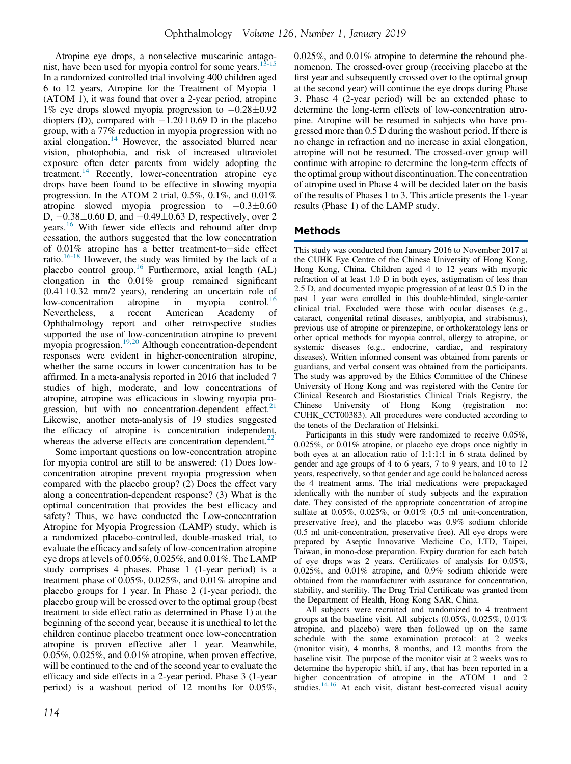Atropine eye drops, a nonselective muscarinic antago-nist, have been used for myopia control for some years.<sup>[13-15](#page-9-0)</sup> In a randomized controlled trial involving 400 children aged 6 to 12 years, Atropine for the Treatment of Myopia 1 (ATOM 1), it was found that over a 2-year period, atropine 1% eye drops slowed myopia progression to  $-0.28\pm0.92$ diopters (D), compared with  $-1.20\pm0.69$  D in the placebo group, with a 77% reduction in myopia progression with no axial elongation. $14$  However, the associated blurred near vision, photophobia, and risk of increased ultraviolet exposure often deter parents from widely adopting the treatment.[14](#page-9-0) Recently, lower-concentration atropine eye drops have been found to be effective in slowing myopia progression. In the ATOM 2 trial, 0.5%, 0.1%, and 0.01% atropine slowed myopia progression to  $-0.3\pm0.60$ D,  $-0.38\pm0.60$  D, and  $-0.49\pm0.63$  D, respectively, over 2 years.<sup>[16](#page-10-0)</sup> With fewer side effects and rebound after drop cessation, the authors suggested that the low concentration of  $0.01\%$  atropine has a better treatment-to-side effect ratio.[16-18](#page-10-0) However, the study was limited by the lack of a placebo control group.[16](#page-10-0) Furthermore, axial length (AL) elongation in the 0.01% group remained significant  $(0.41 \pm 0.32 \text{ mm}/2 \text{ years})$ , rendering an uncertain role of low-concentration atropine in myopia control.<sup>16</sup> low-concentration atropine in myopia Nevertheless, a recent American Academy of Ophthalmology report and other retrospective studies supported the use of low-concentration atropine to prevent myopia progression.<sup>[19,20](#page-10-0)</sup> Although concentration-dependent responses were evident in higher-concentration atropine, whether the same occurs in lower concentration has to be affirmed. In a meta-analysis reported in 2016 that included 7 studies of high, moderate, and low concentrations of atropine, atropine was efficacious in slowing myopia progression, but with no concentration-dependent effect. $21$ Likewise, another meta-analysis of 19 studies suggested the efficacy of atropine is concentration independent, whereas the adverse effects are concentration dependent. $^{22}$  $^{22}$  $^{22}$ 

Some important questions on low-concentration atropine for myopia control are still to be answered: (1) Does lowconcentration atropine prevent myopia progression when compared with the placebo group? (2) Does the effect vary along a concentration-dependent response? (3) What is the optimal concentration that provides the best efficacy and safety? Thus, we have conducted the Low-concentration Atropine for Myopia Progression (LAMP) study, which is a randomized placebo-controlled, double-masked trial, to evaluate the efficacy and safety of low-concentration atropine eye drops at levels of 0.05%, 0.025%, and 0.01%. The LAMP study comprises 4 phases. Phase 1 (1-year period) is a treatment phase of 0.05%, 0.025%, and 0.01% atropine and placebo groups for 1 year. In Phase 2 (1-year period), the placebo group will be crossed over to the optimal group (best treatment to side effect ratio as determined in Phase 1) at the beginning of the second year, because it is unethical to let the children continue placebo treatment once low-concentration atropine is proven effective after 1 year. Meanwhile, 0.05%, 0.025%, and 0.01% atropine, when proven effective, will be continued to the end of the second year to evaluate the efficacy and side effects in a 2-year period. Phase 3 (1-year period) is a washout period of 12 months for 0.05%, 0.025%, and 0.01% atropine to determine the rebound phenomenon. The crossed-over group (receiving placebo at the first year and subsequently crossed over to the optimal group at the second year) will continue the eye drops during Phase 3. Phase 4 (2-year period) will be an extended phase to determine the long-term effects of low-concentration atropine. Atropine will be resumed in subjects who have progressed more than 0.5 D during the washout period. If there is no change in refraction and no increase in axial elongation, atropine will not be resumed. The crossed-over group will continue with atropine to determine the long-term effects of the optimal group without discontinuation. The concentration of atropine used in Phase 4 will be decided later on the basis of the results of Phases 1 to 3. This article presents the 1-year results (Phase 1) of the LAMP study.

## Methods

This study was conducted from January 2016 to November 2017 at the CUHK Eye Centre of the Chinese University of Hong Kong, Hong Kong, China. Children aged 4 to 12 years with myopic refraction of at least 1.0 D in both eyes, astigmatism of less than 2.5 D, and documented myopic progression of at least 0.5 D in the past 1 year were enrolled in this double-blinded, single-center clinical trial. Excluded were those with ocular diseases (e.g., cataract, congenital retinal diseases, amblyopia, and strabismus), previous use of atropine or pirenzepine, or orthokeratology lens or other optical methods for myopia control, allergy to atropine, or systemic diseases (e.g., endocrine, cardiac, and respiratory diseases). Written informed consent was obtained from parents or guardians, and verbal consent was obtained from the participants. The study was approved by the Ethics Committee of the Chinese University of Hong Kong and was registered with the Centre for Clinical Research and Biostatistics Clinical Trials Registry, the Chinese University of Hong Kong (registration no: CUHK\_CCT00383). All procedures were conducted according to the tenets of the Declaration of Helsinki.

Participants in this study were randomized to receive 0.05%, 0.025%, or 0.01% atropine, or placebo eye drops once nightly in both eyes at an allocation ratio of 1:1:1:1 in 6 strata defined by gender and age groups of 4 to 6 years, 7 to 9 years, and 10 to 12 years, respectively, so that gender and age could be balanced across the 4 treatment arms. The trial medications were prepackaged identically with the number of study subjects and the expiration date. They consisted of the appropriate concentration of atropine sulfate at 0.05%, 0.025%, or 0.01% (0.5 ml unit-concentration, preservative free), and the placebo was 0.9% sodium chloride (0.5 ml unit-concentration, preservative free). All eye drops were prepared by Aseptic Innovative Medicine Co, LTD, Taipei, Taiwan, in mono-dose preparation. Expiry duration for each batch of eye drops was 2 years. Certificates of analysis for 0.05%, 0.025%, and 0.01% atropine, and 0.9% sodium chloride were obtained from the manufacturer with assurance for concentration, stability, and sterility. The Drug Trial Certificate was granted from the Department of Health, Hong Kong SAR, China.

All subjects were recruited and randomized to 4 treatment groups at the baseline visit. All subjects (0.05%, 0.025%, 0.01% atropine, and placebo) were then followed up on the same schedule with the same examination protocol: at 2 weeks (monitor visit), 4 months, 8 months, and 12 months from the baseline visit. The purpose of the monitor visit at 2 weeks was to determine the hyperopic shift, if any, that has been reported in a higher concentration of atropine in the ATOM 1 and 2 studies.<sup>[14,16](#page-9-0)</sup> At each visit, distant best-corrected visual acuity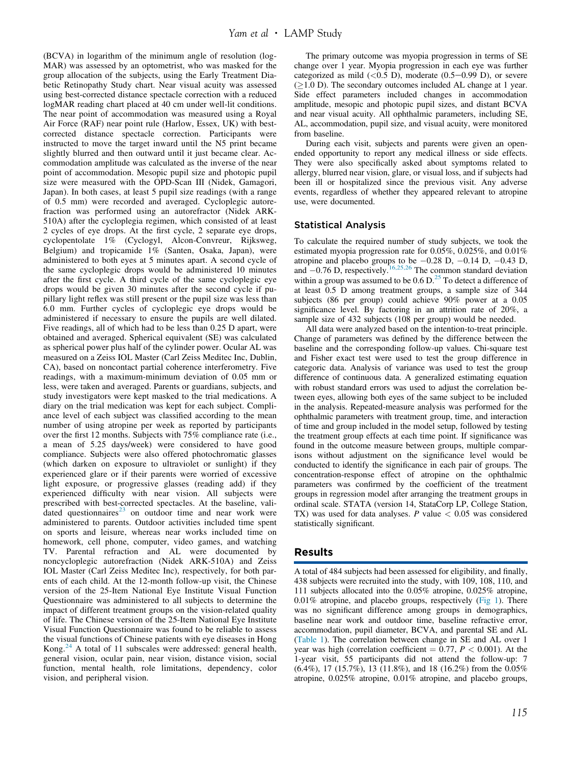(BCVA) in logarithm of the minimum angle of resolution (log-MAR) was assessed by an optometrist, who was masked for the group allocation of the subjects, using the Early Treatment Diabetic Retinopathy Study chart. Near visual acuity was assessed using best-corrected distance spectacle correction with a reduced logMAR reading chart placed at 40 cm under well-lit conditions. The near point of accommodation was measured using a Royal Air Force (RAF) near point rule (Harlow, Essex, UK) with bestcorrected distance spectacle correction. Participants were instructed to move the target inward until the N5 print became slightly blurred and then outward until it just became clear. Accommodation amplitude was calculated as the inverse of the near point of accommodation. Mesopic pupil size and photopic pupil size were measured with the OPD-Scan III (Nidek, Gamagori, Japan). In both cases, at least 5 pupil size readings (with a range of 0.5 mm) were recorded and averaged. Cycloplegic autorefraction was performed using an autorefractor (Nidek ARK-510A) after the cycloplegia regimen, which consisted of at least 2 cycles of eye drops. At the first cycle, 2 separate eye drops, cyclopentolate 1% (Cyclogyl, Alcon-Convreur, Rijksweg, Belgium) and tropicamide 1% (Santen, Osaka, Japan), were administered to both eyes at 5 minutes apart. A second cycle of the same cycloplegic drops would be administered 10 minutes after the first cycle. A third cycle of the same cycloplegic eye drops would be given 30 minutes after the second cycle if pupillary light reflex was still present or the pupil size was less than 6.0 mm. Further cycles of cycloplegic eye drops would be administered if necessary to ensure the pupils are well dilated. Five readings, all of which had to be less than 0.25 D apart, were obtained and averaged. Spherical equivalent (SE) was calculated as spherical power plus half of the cylinder power. Ocular AL was measured on a Zeiss IOL Master (Carl Zeiss Meditec Inc, Dublin, CA), based on noncontact partial coherence interferometry. Five readings, with a maximum-minimum deviation of 0.05 mm or less, were taken and averaged. Parents or guardians, subjects, and study investigators were kept masked to the trial medications. A diary on the trial medication was kept for each subject. Compliance level of each subject was classified according to the mean number of using atropine per week as reported by participants over the first 12 months. Subjects with 75% compliance rate (i.e., a mean of 5.25 days/week) were considered to have good compliance. Subjects were also offered photochromatic glasses (which darken on exposure to ultraviolet or sunlight) if they experienced glare or if their parents were worried of excessive light exposure, or progressive glasses (reading add) if they experienced difficulty with near vision. All subjects were prescribed with best-corrected spectacles. At the baseline, validated questionnaires $^{23}$  $^{23}$  $^{23}$  on outdoor time and near work were administered to parents. Outdoor activities included time spent on sports and leisure, whereas near works included time on homework, cell phone, computer, video games, and watching TV. Parental refraction and AL were documented by noncycloplegic autorefraction (Nidek ARK-510A) and Zeiss IOL Master (Carl Zeiss Meditec Inc), respectively, for both parents of each child. At the 12-month follow-up visit, the Chinese version of the 25-Item National Eye Institute Visual Function Questionnaire was administered to all subjects to determine the impact of different treatment groups on the vision-related quality of life. The Chinese version of the 25-Item National Eye Institute Visual Function Questionnaire was found to be reliable to assess the visual functions of Chinese patients with eye diseases in Hong Kong.<sup>[24](#page-10-0)</sup> A total of 11 subscales were addressed: general health, general vision, ocular pain, near vision, distance vision, social function, mental health, role limitations, dependency, color vision, and peripheral vision.

The primary outcome was myopia progression in terms of SE change over 1 year. Myopia progression in each eye was further categorized as mild  $(<0.5$  D), moderate  $(0.5-0.99)$ . or severe  $(1.0$  D). The secondary outcomes included AL change at 1 year. Side effect parameters included changes in accommodation amplitude, mesopic and photopic pupil sizes, and distant BCVA and near visual acuity. All ophthalmic parameters, including SE, AL, accommodation, pupil size, and visual acuity, were monitored from baseline.

During each visit, subjects and parents were given an openended opportunity to report any medical illness or side effects. They were also specifically asked about symptoms related to allergy, blurred near vision, glare, or visual loss, and if subjects had been ill or hospitalized since the previous visit. Any adverse events, regardless of whether they appeared relevant to atropine use, were documented.

#### Statistical Analysis

To calculate the required number of study subjects, we took the estimated myopia progression rate for 0.05%, 0.025%, and 0.01% atropine and placebo groups to be  $-0.28$  D,  $-0.14$  D,  $-0.43$  D, and  $-0.76$  D, respectively.<sup>[16,25,26](#page-10-0)</sup> The common standard deviation within a group was assumed to be  $0.6 \text{ D.}^{25}$  $0.6 \text{ D.}^{25}$  $0.6 \text{ D.}^{25}$  To detect a difference of at least 0.5 D among treatment groups, a sample size of 344 subjects (86 per group) could achieve 90% power at a 0.05 significance level. By factoring in an attrition rate of 20%, a sample size of 432 subjects (108 per group) would be needed.

All data were analyzed based on the intention-to-treat principle. Change of parameters was defined by the difference between the baseline and the corresponding follow-up values. Chi-square test and Fisher exact test were used to test the group difference in categoric data. Analysis of variance was used to test the group difference of continuous data. A generalized estimating equation with robust standard errors was used to adjust the correlation between eyes, allowing both eyes of the same subject to be included in the analysis. Repeated-measure analysis was performed for the ophthalmic parameters with treatment group, time, and interaction of time and group included in the model setup, followed by testing the treatment group effects at each time point. If significance was found in the outcome measure between groups, multiple comparisons without adjustment on the significance level would be conducted to identify the significance in each pair of groups. The concentration-response effect of atropine on the ophthalmic parameters was confirmed by the coefficient of the treatment groups in regression model after arranging the treatment groups in ordinal scale. STATA (version 14, StataCorp LP, College Station, TX) was used for data analyses.  $P$  value  $\lt$  0.05 was considered statistically significant.

## Results

A total of 484 subjects had been assessed for eligibility, and finally, 438 subjects were recruited into the study, with 109, 108, 110, and 111 subjects allocated into the 0.05% atropine, 0.025% atropine,  $0.01\%$  atropine, and placebo groups, respectively ([Fig 1](#page-3-0)). There was no significant difference among groups in demographics, baseline near work and outdoor time, baseline refractive error, accommodation, pupil diameter, BCVA, and parental SE and AL [\(Table 1](#page-4-0)). The correlation between change in SE and AL over 1 year was high (correlation coefficient  $= 0.77, P < 0.001$ ). At the 1-year visit, 55 participants did not attend the follow-up: 7 (6.4%), 17 (15.7%), 13 (11.8%), and 18 (16.2%) from the 0.05% atropine, 0.025% atropine, 0.01% atropine, and placebo groups,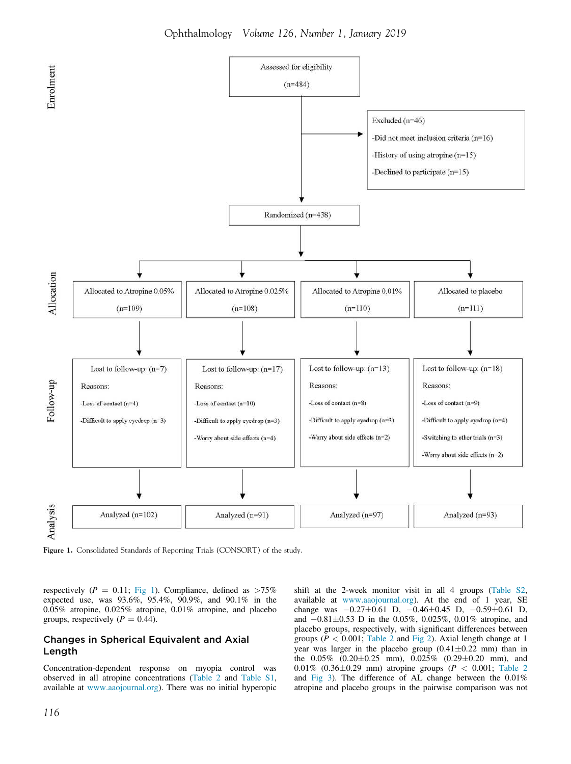<span id="page-3-0"></span>

Figure 1. Consolidated Standards of Reporting Trials (CONSORT) of the study.

respectively ( $P = 0.11$ ; Fig 1). Compliance, defined as  $>75\%$ expected use, was 93.6%, 95.4%, 90.9%, and 90.1% in the 0.05% atropine, 0.025% atropine, 0.01% atropine, and placebo groups, respectively ( $P = 0.44$ ).

#### Changes in Spherical Equivalent and Axial Length

Concentration-dependent response on myopia control was observed in all atropine concentrations [\(Table 2](#page-5-0) and [Table S1](#page-10-0), available at [www.aaojournal.org](http://www.aaojournal.org)). There was no initial hyperopic

shift at the 2-week monitor visit in all 4 groups [\(Table S2](#page-10-0), available at [www.aaojournal.org](http://www.aaojournal.org)). At the end of 1 year, SE change was  $-0.27\pm0.61$  D,  $-0.46\pm0.45$  D,  $-0.59\pm0.61$  D, and  $-0.81\pm0.53$  D in the 0.05%, 0.025%, 0.01% atropine, and placebo groups, respectively, with significant differences between groups ( $P < 0.001$ ; [Table 2](#page-5-0) and [Fig 2](#page-6-0)). Axial length change at 1 year was larger in the placebo group  $(0.41 \pm 0.22 \text{ mm})$  than in the  $0.05\%$   $(0.20 \pm 0.25 \text{ mm})$ ,  $0.025\%$   $(0.29 \pm 0.20 \text{ mm})$ , and 0.01% (0.36 $\pm$ 0.29 mm) atropine groups (P < 0.001; [Table 2](#page-5-0) and [Fig 3](#page-6-0)). The difference of AL change between the 0.01% atropine and placebo groups in the pairwise comparison was not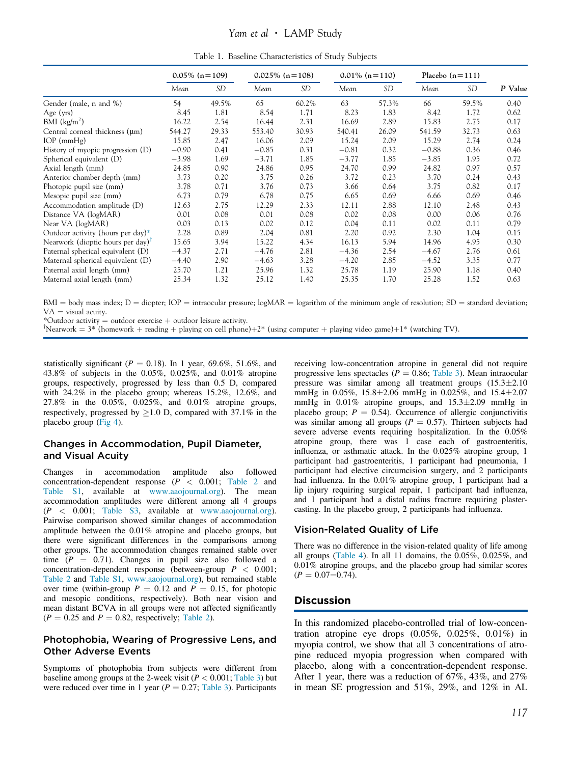## Yam et al · LAMP Study

| Table 1. Baseline Characteristics of Study Subjects |  |  |  |
|-----------------------------------------------------|--|--|--|
|-----------------------------------------------------|--|--|--|

<span id="page-4-0"></span>

|                                                                     | $0.05\%$ (n = 109) |           |         | $0.025\%$ (n = 108) |         | $0.01\%$ (n=110) |         | Placebo $(n=111)$ |         |
|---------------------------------------------------------------------|--------------------|-----------|---------|---------------------|---------|------------------|---------|-------------------|---------|
|                                                                     | Mean               | <b>SD</b> | Mean    | <b>SD</b>           | Mean    | SD               | Mean    | <b>SD</b>         | P Value |
| Gender (male, n and %)                                              | 54                 | 49.5%     | 65      | 60.2%               | 63      | 57.3%            | 66      | 59.5%             | 0.40    |
| Age $(yrs)$                                                         | 8.45               | 1.81      | 8.54    | 1.71                | 8.23    | 1.83             | 8.42    | 1.72              | 0.62    |
| BMI $(kg/m^2)$                                                      | 16.22              | 2.54      | 16.44   | 2.31                | 16.69   | 2.89             | 15.83   | 2.75              | 0.17    |
| Central corneal thickness $(\mu m)$                                 | 544.27             | 29.33     | 553.40  | 30.93               | 540.41  | 26.09            | 541.59  | 32.73             | 0.63    |
| $IOP$ (mm $Hg$ )                                                    | 15.85              | 2.47      | 16.06   | 2.09                | 15.24   | 2.09             | 15.29   | 2.74              | 0.24    |
| History of myopic progression $(D)$                                 | $-0.90$            | 0.41      | $-0.85$ | 0.31                | $-0.81$ | 0.32             | $-0.88$ | 0.36              | 0.46    |
| Spherical equivalent (D)                                            | $-3.98$            | 1.69      | $-3.71$ | 1.85                | $-3.77$ | 1.85             | $-3.85$ | 1.95              | 0.72    |
| Axial length (mm)                                                   | 24.85              | 0.90      | 24.86   | 0.95                | 24.70   | 0.99             | 24.82   | 0.97              | 0.57    |
| Anterior chamber depth (mm)                                         | 3.73               | 0.20      | 3.75    | 0.26                | 3.72    | 0.23             | 3.70    | 0.24              | 0.43    |
| Photopic pupil size (mm)                                            | 3.78               | 0.71      | 3.76    | 0.73                | 3.66    | 0.64             | 3.75    | 0.82              | 0.17    |
| Mesopic pupil size (mm)                                             | 6.73               | 0.79      | 6.78    | 0.75                | 6.65    | 0.69             | 6.66    | 0.69              | 0.46    |
| Accommodation amplitude (D)                                         | 12.63              | 2.75      | 12.29   | 2.33                | 12.11   | 2.88             | 12.10   | 2.48              | 0.43    |
| Distance VA (logMAR)                                                | 0.01               | 0.08      | 0.01    | 0.08                | 0.02    | 0.08             | 0.00    | 0.06              | 0.76    |
| Near VA (logMAR)                                                    | 0.03               | 0.13      | 0.02    | 0.12                | 0.04    | 0.11             | 0.02    | 0.11              | 0.79    |
| Outdoor activity (hours per day)*                                   | 2.28               | 0.89      | 2.04    | 0.81                | 2.20    | 0.92             | 2.30    | 1.04              | 0.15    |
| Nearwork (dioptic hours per day) <sup><math>\mathsf{T}</math></sup> | 15.65              | 3.94      | 15.22   | 4.34                | 16.13   | 5.94             | 14.96   | 4.95              | 0.30    |
| Paternal spherical equivalent (D)                                   | $-4.37$            | 2.71      | $-4.76$ | 2.81                | $-4.36$ | 2.54             | $-4.67$ | 2.76              | 0.61    |
| Maternal spherical equivalent (D)                                   | $-4.40$            | 2.90      | $-4.63$ | 3.28                | $-4.20$ | 2.85             | $-4.52$ | 3.35              | 0.77    |
| Paternal axial length (mm)                                          | 25.70              | 1.21      | 25.96   | 1.32                | 25.78   | 1.19             | 25.90   | 1.18              | 0.40    |
| Maternal axial length (mm)                                          | 25.34              | 1.32      | 25.12   | 1.40                | 25.35   | 1.70             | 25.28   | 1.52              | 0.63    |

 $BMI = body$  mass index;  $D = dipter$ ;  $IOP = intraocular pressure$ ;  $logMAR = logarithm$  of the minimum angle of resolution;  $SD = standard$  deviation;  $VA = visual$  acuity.

\*Outdoor activity = outdoor exercise  $+$  outdoor leisure activity.

<sup>†</sup>Nearwork =  $3^*$  (homework + reading + playing on cell phone)+2\* (using computer + playing video game)+1\* (watching TV).

statistically significant ( $P = 0.18$ ). In 1 year, 69.6%, 51.6%, and 43.8% of subjects in the 0.05%, 0.025%, and 0.01% atropine groups, respectively, progressed by less than 0.5 D, compared with 24.2% in the placebo group; whereas 15.2%, 12.6%, and 27.8% in the 0.05%, 0.025%, and 0.01% atropine groups, respectively, progressed by  $>1.0$  D, compared with 37.1% in the placebo group ([Fig 4\)](#page-6-0).

## Changes in Accommodation, Pupil Diameter, and Visual Acuity

Changes in accommodation amplitude also followed concentration-dependent response  $(P \le 0.001$ ; [Table 2](#page-5-0) and [Table S1,](#page-10-0) available at [www.aaojournal.org](http://www.aaojournal.org)). The mean accommodation amplitudes were different among all 4 groups  $(P < 0.001$ ; [Table S3](#page-10-0), available at [www.aaojournal.org](http://www.aaojournal.org)). Pairwise comparison showed similar changes of accommodation amplitude between the 0.01% atropine and placebo groups, but there were significant differences in the comparisons among other groups. The accommodation changes remained stable over time  $(P = 0.71)$ . Changes in pupil size also followed a concentration-dependent response (between-group  $P < 0.001$ ; [Table 2](#page-5-0) and [Table S1,](#page-10-0) [www.aaojournal.org](http://www.aaojournal.org)), but remained stable over time (within-group  $P = 0.12$  and  $P = 0.15$ , for photopic and mesopic conditions, respectively). Both near vision and mean distant BCVA in all groups were not affected significantly  $(P = 0.25$  and  $P = 0.82$ , respectively; [Table 2\)](#page-5-0).

#### Photophobia, Wearing of Progressive Lens, and Other Adverse Events

Symptoms of photophobia from subjects were different from baseline among groups at the 2-week visit ( $P < 0.001$ ; [Table 3](#page-7-0)) but were reduced over time in 1 year ( $P = 0.27$ ; [Table 3](#page-7-0)). Participants

receiving low-concentration atropine in general did not require progressive lens spectacles ( $P = 0.86$ ; [Table 3](#page-7-0)). Mean intraocular pressure was similar among all treatment groups  $(15.3 \pm 2.10)$ mmHg in  $0.05\%$ ,  $15.8\pm2.06$  mmHg in  $0.025\%$ , and  $15.4\pm2.07$ mmHg in  $0.01\%$  atropine groups, and  $15.3 \pm 2.09$  mmHg in placebo group;  $P = 0.54$ ). Occurrence of allergic conjunctivitis was similar among all groups ( $P = 0.57$ ). Thirteen subjects had severe adverse events requiring hospitalization. In the 0.05% atropine group, there was 1 case each of gastroenteritis, influenza, or asthmatic attack. In the 0.025% atropine group, 1 participant had gastroenteritis, 1 participant had pneumonia, 1 participant had elective circumcision surgery, and 2 participants had influenza. In the 0.01% atropine group, 1 participant had a lip injury requiring surgical repair, 1 participant had influenza, and 1 participant had a distal radius fracture requiring plastercasting. In the placebo group, 2 participants had influenza.

#### Vision-Related Quality of Life

There was no difference in the vision-related quality of life among all groups [\(Table 4](#page-7-0)). In all 11 domains, the  $0.05\%$ ,  $0.025\%$ , and 0.01% atropine groups, and the placebo group had similar scores  $(P = 0.07 - 0.74).$ 

#### Discussion

In this randomized placebo-controlled trial of low-concentration atropine eye drops  $(0.05\%, 0.025\%, 0.01\%)$  in myopia control, we show that all 3 concentrations of atropine reduced myopia progression when compared with placebo, along with a concentration-dependent response. After 1 year, there was a reduction of 67%, 43%, and 27% in mean SE progression and 51%, 29%, and 12% in AL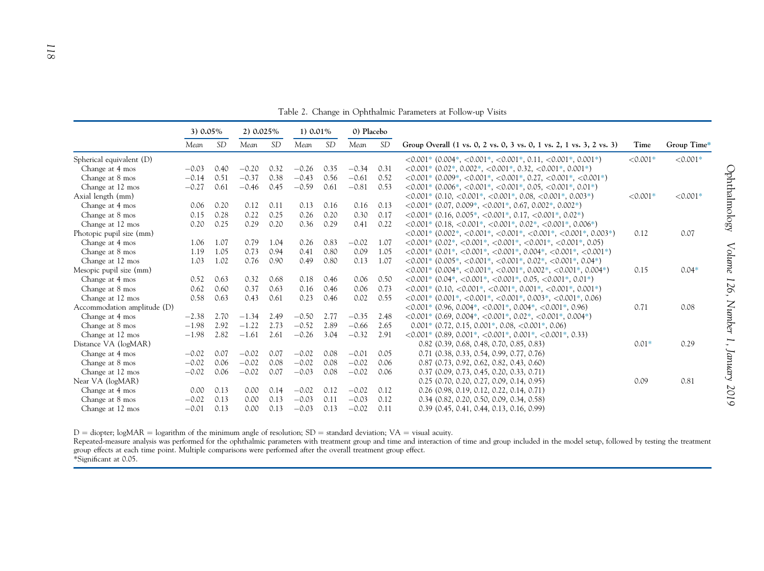<span id="page-5-0"></span>

|                             | 3) 0.05% |           | $2)$ 0.025% |           | 1) $0.01\%$ |           | 0) Placebo |           |                                                                                                                            |            |             |
|-----------------------------|----------|-----------|-------------|-----------|-------------|-----------|------------|-----------|----------------------------------------------------------------------------------------------------------------------------|------------|-------------|
|                             | Mean     | <i>SD</i> | Mean        | <b>SD</b> | Mean        | <b>SD</b> | Mean       | <i>SD</i> | Group Overall (1 vs. 0, 2 vs. 0, 3 vs. 0, 1 vs. 2, 1 vs. 3, 2 vs. 3)                                                       | Time       | Group Time* |
| Spherical equivalent (D)    |          |           |             |           |             |           |            |           | $\langle 0.001^* (0.004^*, 0.001^*, 0.001^*, 0.11, 0.001^*, 0.001^*)$                                                      | $< 0.001*$ | $< 0.001*$  |
| Change at 4 mos             | $-0.03$  | 0.40      | $-0.20$     | 0.32      | $-0.26$     | 0.35      | $-0.34$    | 0.31      | $\langle 0.001^* (0.02^*, 0.002^*, \langle 0.001^*, 0.32, \langle 0.001^*, 0.001^* \rangle )$                              |            |             |
| Change at 8 mos             | $-0.14$  | 0.51      | $-0.37$     | 0.38      | $-0.43$     | 0.56      | $-0.61$    | 0.52      | $\langle 0.001^* (0.009^*, \langle 0.001^*, 0.001^*, 0.27, \langle 0.001^*, 0.001^* \rangle )$                             |            |             |
| Change at 12 mos            | $-0.27$  | 0.61      | $-0.46$     | 0.45      | $-0.59$     | 0.61      | $-0.81$    | 0.53      | $\langle 0.001^* (0.006^*, \langle 0.001^*, \langle 0.001^*, 0.05, \langle 0.001^*, 0.01^* \rangle )$                      |            |             |
| Axial length (mm)           |          |           |             |           |             |           |            |           | $\langle 0.001^* (0.10, \langle 0.001^*, \langle 0.001^*, 0.08, \langle 0.001^*, 0.003^* \rangle )$                        | $< 0.001*$ | $< 0.001*$  |
| Change at 4 mos             | 0.06     | 0.20      | 0.12        | 0.11      | 0.13        | 0.16      | 0.16       | 0.13      | $\langle 0.001^* (0.07, 0.009^*, \langle 0.001^*, 0.67, 0.002^*, 0.002^* )$                                                |            |             |
| Change at 8 mos             | 0.15     | 0.28      | 0.22        | 0.25      | 0.26        | 0.20      | 0.30       | 0.17      | $\langle 0.001^* (0.16, 0.005^*, \langle 0.001^*, 0.17, \langle 0.001^*, 0.02^* \rangle )$                                 |            |             |
| Change at 12 mos            | 0.20     | 0.25      | 0.29        | 0.20      | 0.36        | 0.29      | 0.41       | 0.22      | $\langle 0.001^* (0.18, \langle 0.001^*, 0.001^*, 0.02^*, 0.001^*, 0.006^*)$                                               |            |             |
| Photopic pupil size (mm)    |          |           |             |           |             |           |            |           | $\langle 0.001^* (0.002^*, \langle 0.001^*, \langle 0.001^*, \langle 0.001^*, \langle 0.001^*, 0.001^*, 0.003^* \rangle )$ | 0.12       | 0.07        |
| Change at 4 mos             | 1.06     | 1.07      | 0.79        | 1.04      | 0.26        | 0.83      | $-0.02$    | 1.07      | $\langle 0.001^* (0.02^*, 0.001^*, 0.001^*, 0.001^*, 0.001^*, 0.001^*, 0.05) \rangle$                                      |            |             |
| Change at 8 mos             | 1.19     | 1.05      | 0.73        | 0.94      | 0.41        | 0.80      | 0.09       | 1.05      | $\langle 0.001^*, (0.01^*, 0.001^*, 0.001^*, 0.004^*, 0.001^*, 0.001^* \rangle$                                            |            |             |
| Change at 12 mos            | 1.03     | 1.02      | 0.76        | 0.90      | 0.49        | 0.80      | 0.13       | 1.07      | $\langle 0.001^* (0.005^*, \langle 0.001^*, \langle 0.001^*, 0.02^*, \langle 0.001^*, 0.04^* \rangle )$                    |            |             |
| Mesopic pupil size (mm)     |          |           |             |           |             |           |            |           | $\langle 0.001^* (0.004^*, \langle 0.001^*, \langle 0.001^*, 0.002^*, \langle 0.001^*, 0.004^* \rangle )$                  | 0.15       | $0.04*$     |
| Change at 4 mos             | 0.52     | 0.63      | 0.32        | 0.68      | 0.18        | 0.46      | 0.06       | 0.50      | $\langle 0.001^* (0.04^*, \langle 0.001^*, \langle 0.001^*, 0.05, \langle 0.001^*, 0.01^* \rangle )$                       |            |             |
| Change at 8 mos             | 0.62     | 0.60      | 0.37        | 0.63      | 0.16        | 0.46      | 0.06       | 0.73      | $\langle 0.001^* (0.10, \langle 0.001^*, \langle 0.001^*, 0.001^*, \langle 0.001^*, 0.001^*, 0.001^* \rangle )$            |            |             |
| Change at 12 mos            | 0.58     | 0.63      | 0.43        | 0.61      | 0.23        | 0.46      | 0.02       | 0.55      | $\langle 0.001^*, (0.001^*, \langle 0.001^*, \langle 0.001^*, 0.003^*, \langle 0.001^*, 0.06 \rangle ) \rangle$            |            |             |
| Accommodation amplitude (D) |          |           |             |           |             |           |            |           | $\langle 0.001^* (0.96, 0.004^*, \langle 0.001^*, 0.004^*, \langle 0.001^*, 0.96 \rangle )$                                | 0.71       | 0.08        |
| Change at 4 mos             | $-2.38$  | 2.70      | $-1.34$     | 2.49      | $-0.50$     | 2.77      | $-0.35$    | 2.48      | $\langle 0.001^* (0.69, 0.004^*, \langle 0.001^*, 0.02^*, \langle 0.001^*, 0.004^* \rangle )$                              |            |             |
| Change at 8 mos             | $-1.98$  | 2.92      | $-1.22$     | 2.73      | $-0.52$     | 2.89      | $-0.66$    | 2.65      | $0.001*$ (0.72, 0.15, 0.001*, 0.08, <0.001*, 0.06)                                                                         |            |             |
| Change at 12 mos            | $-1.98$  | 2.82      | $-1.61$     | 2.61      | $-0.26$     | 3.04      | $-0.32$    | 2.91      | $\langle 0.001^* (0.89, 0.001^*, \langle 0.001^*, 0.001^*, \langle 0.001^*, 0.33 \rangle )$                                |            |             |
| Distance VA (logMAR)        |          |           |             |           |             |           |            |           | $0.82$ $(0.39, 0.68, 0.48, 0.70, 0.85, 0.83)$                                                                              | $0.01*$    | 0.29        |
| Change at 4 mos             | $-0.02$  | 0.07      | $-0.02$     | 0.07      | $-0.02$     | 0.08      | $-0.01$    | 0.05      | $0.71$ $(0.38, 0.33, 0.54, 0.99, 0.77, 0.76)$                                                                              |            |             |
| Change at 8 mos             | $-0.02$  | 0.06      | $-0.02$     | 0.08      | $-0.02$     | 0.08      | $-0.02$    | 0.06      | $0.87$ (0.73, 0.92, 0.62, 0.82, 0.43, 0.60)                                                                                |            |             |
| Change at 12 mos            | $-0.02$  | 0.06      | $-0.02$     | 0.07      | $-0.03$     | 0.08      | $-0.02$    | 0.06      | 0.37 (0.09, 0.73, 0.45, 0.20, 0.33, 0.71)                                                                                  |            |             |
| Near VA (logMAR)            |          |           |             |           |             |           |            |           | $0.25$ (0.70, 0.20, 0.27, 0.09, 0.14, 0.95)                                                                                | 0.09       | 0.81        |
| Change at 4 mos             | 0.00     | 0.13      | 0.00        | 0.14      | $-0.02$     | 0.12      | $-0.02$    | 0.12      | $0.26$ (0.98, 0.19, 0.12, 0.22, 0.14, 0.71)                                                                                |            |             |
| Change at 8 mos             | $-0.02$  | 0.13      | 0.00        | 0.13      | $-0.03$     | 0.11      | $-0.03$    | 0.12      | 0.34 (0.82, 0.20, 0.50, 0.09, 0.34, 0.58)                                                                                  |            |             |
| Change at 12 mos            | $-0.01$  | 0.13      | 0.00        | 0.13      | $-0.03$     | 0.13      | $-0.02$    | 0.11      | $0.39$ $(0.45, 0.41, 0.44, 0.13, 0.16, 0.99)$                                                                              |            |             |

Table 2. Change in Ophthalmic Parameters at Follow-up Visits

 $D =$  diopter; logMAR = logarithm of the minimum angle of resolution;  $SD =$  standard deviation; VA = visual acuity.

Repeated-measure analysis was performed for the ophthalmic parameters with treatment group and time and interaction of time and group included in the model setup, followed by testing the treatment group effects at each time point. Multiple comparisons were performed after the overall treatment group effect. \*Significant at 0.05.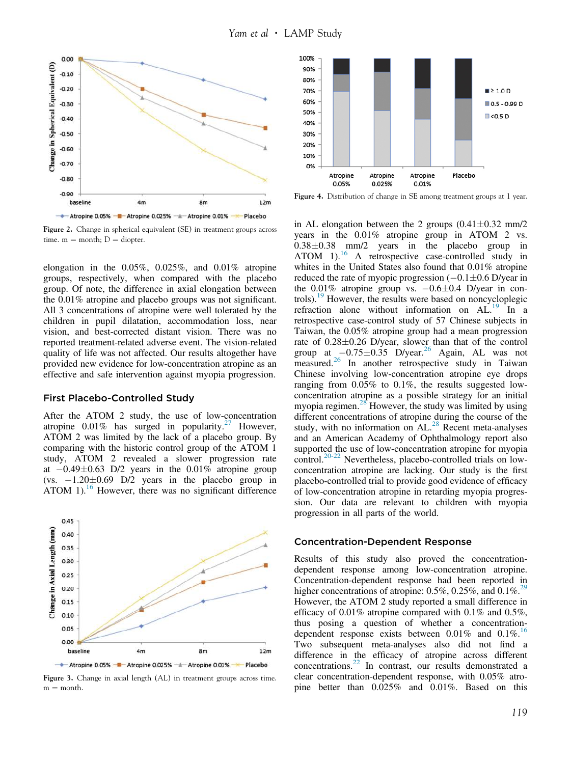<span id="page-6-0"></span>

Figure 2. Change in spherical equivalent (SE) in treatment groups across time.  $m =$  month;  $D =$  diopter.

elongation in the  $0.05\%$ ,  $0.025\%$ , and  $0.01\%$  atropine groups, respectively, when compared with the placebo group. Of note, the difference in axial elongation between the 0.01% atropine and placebo groups was not significant. All 3 concentrations of atropine were well tolerated by the children in pupil dilatation, accommodation loss, near vision, and best-corrected distant vision. There was no reported treatment-related adverse event. The vision-related quality of life was not affected. Our results altogether have provided new evidence for low-concentration atropine as an effective and safe intervention against myopia progression.

#### First Placebo-Controlled Study

After the ATOM 2 study, the use of low-concentration atropine  $0.01\%$  has surged in popularity.<sup>[27](#page-10-0)</sup> However, ATOM 2 was limited by the lack of a placebo group. By comparing with the historic control group of the ATOM 1 study, ATOM 2 revealed a slower progression rate at  $-0.49\pm0.63$  D/2 years in the 0.01% atropine group (vs.  $-1.20\pm0.69$  D/2 years in the placebo group in ATOM 1). $^{16}$  $^{16}$  $^{16}$  However, there was no significant difference



Figure 3. Change in axial length (AL) in treatment groups across time.  $m =$  month.



Figure 4. Distribution of change in SE among treatment groups at 1 year.

in AL elongation between the 2 groups  $(0.41 \pm 0.32 \text{ mm}/2)$ years in the 0.01% atropine group in ATOM 2 vs.  $0.38\pm0.38$  mm/2 years in the placebo group in ATOM 1).<sup>[16](#page-10-0)</sup> A retrospective case-controlled study in whites in the United States also found that  $0.01\%$  atropine reduced the rate of myopic progression  $(-0.1\pm0.6 \text{ D/year}$  in the  $0.01\%$  atropine group vs.  $-0.6\pm0.4$  D/year in controls).[19](#page-10-0) However, the results were based on noncycloplegic refraction alone without information on  $AL$ <sup>[19](#page-10-0)</sup> In a retrospective case-control study of 57 Chinese subjects in Taiwan, the 0.05% atropine group had a mean progression rate of  $0.28\pm0.26$  D/year, slower than that of the control group at  $-0.75\pm0.35$  D/year.<sup>[26](#page-10-0)</sup> Again, AL was not measured.[26](#page-10-0) In another retrospective study in Taiwan Chinese involving low-concentration atropine eye drops ranging from 0.05% to 0.1%, the results suggested lowconcentration atropine as a possible strategy for an initial myopia regimen.<sup>[28](#page-10-0)</sup> However, the study was limited by using different concentrations of atropine during the course of the study, with no information on  $AL.^{28}$  $AL.^{28}$  $AL.^{28}$  Recent meta-analyses and an American Academy of Ophthalmology report also supported the use of low-concentration atropine for myopia control.<sup>[20-22](#page-10-0)</sup> Nevertheless, placebo-controlled trials on lowconcentration atropine are lacking. Our study is the first placebo-controlled trial to provide good evidence of efficacy of low-concentration atropine in retarding myopia progression. Our data are relevant to children with myopia progression in all parts of the world.

#### Concentration-Dependent Response

Results of this study also proved the concentrationdependent response among low-concentration atropine. Concentration-dependent response had been reported in higher concentrations of atropine:  $0.5\%$ ,  $0.25\%$ , and  $0.1\%$ .<sup>[29](#page-10-0)</sup> However, the ATOM 2 study reported a small difference in efficacy of 0.01% atropine compared with 0.1% and 0.5%, thus posing a question of whether a concentrationdependent response exists between  $0.01\%$  and  $0.1\%$ .<sup>[16](#page-10-0)</sup> Two subsequent meta-analyses also did not find a difference in the efficacy of atropine across different concentrations.[22](#page-10-0) In contrast, our results demonstrated a clear concentration-dependent response, with 0.05% atropine better than 0.025% and 0.01%. Based on this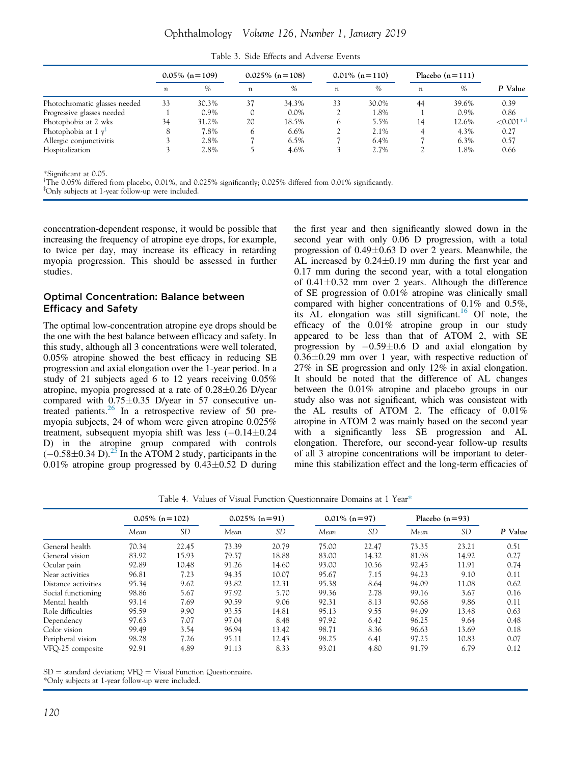<span id="page-7-0"></span>

|                                 |                  | $0.05\%$ (n = 109) |                  | $0.025\%$ (n = 108) |    | $0.01\%$ (n = 110) |                  | Placebo $(n=111)$ |              |
|---------------------------------|------------------|--------------------|------------------|---------------------|----|--------------------|------------------|-------------------|--------------|
|                                 | $\boldsymbol{n}$ | %                  | $\boldsymbol{n}$ | $\frac{0}{0}$       | n  | $\%$               | $\boldsymbol{n}$ | %                 | P Value      |
| Photochromatic glasses needed   | 33               | 30.3%              | 37               | 34.3%               | 33 | 30.0%              | 44               | 39.6%             | 0.39         |
| Progressive glasses needed      |                  | $0.9\%$            |                  | $0.0\%$             |    | 1.8%               |                  | $0.9\%$           | 0.86         |
| Photophobia at 2 wks            | 34               | 31.2%              | 20               | 18.5%               |    | 5.5%               | 14               | 12.6%             | $< 0.001$ *' |
| Photophobia at 1 v <sup>‡</sup> |                  | 7.8%               | 6                | $6.6\%$             |    | 2.1%               |                  | 4.3%              | 0.27         |
| Allergic conjunctivitis         |                  | 2.8%               |                  | $6.5\%$             |    | 6.4%               |                  | 6.3%              | 0.57         |
| Hospitalization                 |                  | 2.8%               |                  | 4.6%                |    | 2.7%               |                  | 1.8%              | 0.66         |

Table 3. Side Effects and Adverse Events

\*Significant at 0.05.

 $^{\dagger}$ The 0.05% differed from placebo, 0.01%, and 0.025% significantly; 0.025% differed from 0.01% significantly.

<sup>z</sup>Only subjects at 1-year follow-up were included.

concentration-dependent response, it would be possible that increasing the frequency of atropine eye drops, for example, to twice per day, may increase its efficacy in retarding myopia progression. This should be assessed in further studies.

## Optimal Concentration: Balance between Efficacy and Safety

The optimal low-concentration atropine eye drops should be the one with the best balance between efficacy and safety. In this study, although all 3 concentrations were well tolerated, 0.05% atropine showed the best efficacy in reducing SE progression and axial elongation over the 1-year period. In a study of 21 subjects aged 6 to 12 years receiving 0.05% atropine, myopia progressed at a rate of  $0.28\pm0.26$  D/year compared with  $0.75\pm0.35$  D/year in 57 consecutive untreated patients. $^{26}$  $^{26}$  $^{26}$  In a retrospective review of 50 premyopia subjects, 24 of whom were given atropine 0.025% treatment, subsequent myopia shift was less  $(-0.14 \pm 0.24)$ D) in the atropine group compared with controls  $(-0.58\pm0.34 \text{ D})$ .<sup>[25](#page-10-0)</sup> In the ATOM 2 study, participants in the 0.01% atropine group progressed by  $0.43 \pm 0.52$  D during

the first year and then significantly slowed down in the second year with only 0.06 D progression, with a total progression of  $0.49 \pm 0.63$  D over 2 years. Meanwhile, the AL increased by  $0.24 \pm 0.19$  mm during the first year and 0.17 mm during the second year, with a total elongation of  $0.41 \pm 0.32$  mm over 2 years. Although the difference of SE progression of 0.01% atropine was clinically small compared with higher concentrations of 0.1% and 0.5%, its  $AL$  elongation was still significant.<sup>[16](#page-10-0)</sup> Of note, the efficacy of the 0.01% atropine group in our study appeared to be less than that of ATOM 2, with SE progression by  $-0.59\pm0.6$  D and axial elongation by  $0.36\pm0.29$  mm over 1 year, with respective reduction of 27% in SE progression and only 12% in axial elongation. It should be noted that the difference of AL changes between the 0.01% atropine and placebo groups in our study also was not significant, which was consistent with the AL results of ATOM 2. The efficacy of 0.01% atropine in ATOM 2 was mainly based on the second year with a significantly less SE progression and AL elongation. Therefore, our second-year follow-up results of all 3 atropine concentrations will be important to determine this stabilization effect and the long-term efficacies of

Table 4. Values of Visual Function Questionnaire Domains at 1 Year\*

|                     |       | $0.05\%$ (n = 102) |       | $0.025\%$ (n=91) |       | $0.01\%$ (n=97) |       | Placebo $(n=93)$ |         |
|---------------------|-------|--------------------|-------|------------------|-------|-----------------|-------|------------------|---------|
|                     | Mean  | <b>SD</b>          | Mean  | <b>SD</b>        | Mean  | <b>SD</b>       | Mean  | <b>SD</b>        | P Value |
| General health      | 70.34 | 22.45              | 73.39 | 20.79            | 75.00 | 22.47           | 73.35 | 23.21            | 0.51    |
| General vision      | 83.92 | 15.93              | 79.57 | 18.88            | 83.00 | 14.32           | 81.98 | 14.92            | 0.27    |
| Ocular pain         | 92.89 | 10.48              | 91.26 | 14.60            | 93.00 | 10.56           | 92.45 | 11.91            | 0.74    |
| Near activities     | 96.81 | 7.23               | 94.35 | 10.07            | 95.67 | 7.15            | 94.23 | 9.10             | 0.11    |
| Distance activities | 95.34 | 9.62               | 93.82 | 12.31            | 95.38 | 8.64            | 94.09 | 11.08            | 0.62    |
| Social functioning  | 98.86 | 5.67               | 97.92 | 5.70             | 99.36 | 2.78            | 99.16 | 3.67             | 0.16    |
| Mental health       | 93.14 | 7.69               | 90.59 | 9.06             | 92.31 | 8.13            | 90.68 | 9.86             | 0.11    |
| Role difficulties   | 95.59 | 9.90               | 93.55 | 14.81            | 95.13 | 9.55            | 94.09 | 13.48            | 0.63    |
| Dependency          | 97.63 | 7.07               | 97.04 | 8.48             | 97.92 | 6.42            | 96.25 | 9.64             | 0.48    |
| Color vision        | 99.49 | 3.54               | 96.94 | 13.42            | 98.71 | 8.36            | 96.63 | 13.69            | 0.18    |
| Peripheral vision   | 98.28 | 7.26               | 95.11 | 12.43            | 98.25 | 6.41            | 97.25 | 10.83            | 0.07    |
| VFO-25 composite    | 92.91 | 4.89               | 91.13 | 8.33             | 93.01 | 4.80            | 91.79 | 6.79             | 0.12    |

 $SD =$  standard deviation;  $VFO =$  Visual Function Questionnaire.

\*Only subjects at 1-year follow-up were included.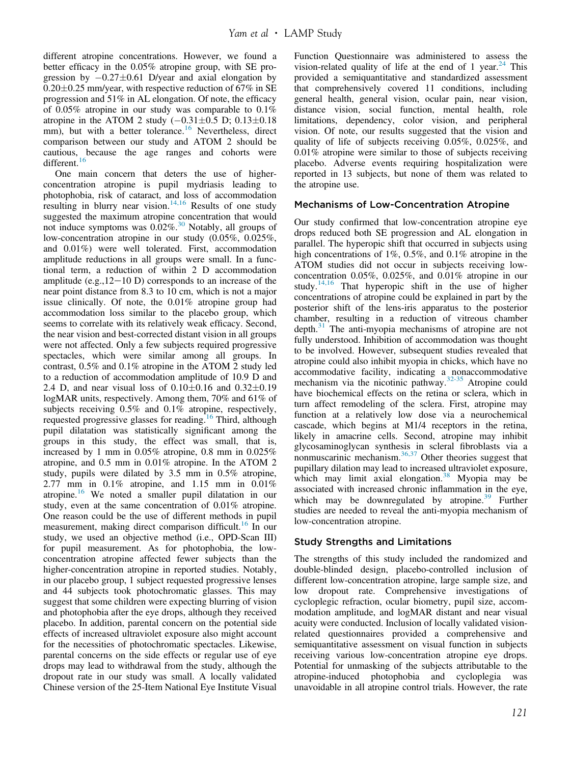different atropine concentrations. However, we found a better efficacy in the 0.05% atropine group, with SE progression by  $-0.27\pm0.61$  D/year and axial elongation by  $0.20\pm0.25$  mm/year, with respective reduction of 67% in SE progression and 51% in AL elongation. Of note, the efficacy of 0.05% atropine in our study was comparable to 0.1% atropine in the ATOM 2 study  $(-0.31 \pm 0.5 \text{ D}; 0.13 \pm 0.18)$ mm), but with a better tolerance.<sup>[16](#page-10-0)</sup> Nevertheless, direct comparison between our study and ATOM 2 should be cautious, because the age ranges and cohorts were different.<sup>[16](#page-10-0)</sup>

One main concern that deters the use of higherconcentration atropine is pupil mydriasis leading to photophobia, risk of cataract, and loss of accommodation resulting in blurry near vision.<sup>[14,16](#page-9-0)</sup> Results of one study suggested the maximum atropine concentration that would not induce symptoms was  $0.02\%$ .<sup>[30](#page-10-0)</sup> Notably, all groups of low-concentration atropine in our study (0.05%, 0.025%, and 0.01%) were well tolerated. First, accommodation amplitude reductions in all groups were small. In a functional term, a reduction of within 2 D accommodation amplitude (e.g.,  $12-10$  D) corresponds to an increase of the near point distance from 8.3 to 10 cm, which is not a major issue clinically. Of note, the 0.01% atropine group had accommodation loss similar to the placebo group, which seems to correlate with its relatively weak efficacy. Second, the near vision and best-corrected distant vision in all groups were not affected. Only a few subjects required progressive spectacles, which were similar among all groups. In contrast, 0.5% and 0.1% atropine in the ATOM 2 study led to a reduction of accommodation amplitude of 10.9 D and 2.4 D, and near visual loss of  $0.10 \pm 0.16$  and  $0.32 \pm 0.19$ logMAR units, respectively. Among them, 70% and 61% of subjects receiving 0.5% and 0.1% atropine, respectively, requested progressive glasses for reading.<sup>[16](#page-10-0)</sup> Third, although pupil dilatation was statistically significant among the groups in this study, the effect was small, that is, increased by 1 mm in 0.05% atropine, 0.8 mm in 0.025% atropine, and 0.5 mm in 0.01% atropine. In the ATOM 2 study, pupils were dilated by 3.5 mm in 0.5% atropine, 2.77 mm in 0.1% atropine, and 1.15 mm in 0.01% atropine.[16](#page-10-0) We noted a smaller pupil dilatation in our study, even at the same concentration of 0.01% atropine. One reason could be the use of different methods in pupil measurement, making direct comparison difficult.<sup>[16](#page-10-0)</sup> In our study, we used an objective method (i.e., OPD-Scan III) for pupil measurement. As for photophobia, the lowconcentration atropine affected fewer subjects than the higher-concentration atropine in reported studies. Notably, in our placebo group, 1 subject requested progressive lenses and 44 subjects took photochromatic glasses. This may suggest that some children were expecting blurring of vision and photophobia after the eye drops, although they received placebo. In addition, parental concern on the potential side effects of increased ultraviolet exposure also might account for the necessities of photochromatic spectacles. Likewise, parental concerns on the side effects or regular use of eye drops may lead to withdrawal from the study, although the dropout rate in our study was small. A locally validated Chinese version of the 25-Item National Eye Institute Visual

Function Questionnaire was administered to assess the vision-related quality of life at the end of 1 year.<sup>[24](#page-10-0)</sup> This provided a semiquantitative and standardized assessment that comprehensively covered 11 conditions, including general health, general vision, ocular pain, near vision, distance vision, social function, mental health, role limitations, dependency, color vision, and peripheral vision. Of note, our results suggested that the vision and quality of life of subjects receiving 0.05%, 0.025%, and 0.01% atropine were similar to those of subjects receiving placebo. Adverse events requiring hospitalization were reported in 13 subjects, but none of them was related to the atropine use.

## Mechanisms of Low-Concentration Atropine

Our study confirmed that low-concentration atropine eye drops reduced both SE progression and AL elongation in parallel. The hyperopic shift that occurred in subjects using high concentrations of 1%, 0.5%, and 0.1% atropine in the ATOM studies did not occur in subjects receiving lowconcentration 0.05%, 0.025%, and 0.01% atropine in our study.<sup>[14,16](#page-9-0)</sup> That hyperopic shift in the use of higher concentrations of atropine could be explained in part by the posterior shift of the lens-iris apparatus to the posterior chamber, resulting in a reduction of vitreous chamber depth. $31$  The anti-myopia mechanisms of atropine are not fully understood. Inhibition of accommodation was thought to be involved. However, subsequent studies revealed that atropine could also inhibit myopia in chicks, which have no accommodative facility, indicating a nonaccommodative mechanism via the nicotinic pathway.<sup>[32-35](#page-10-0)</sup> Atropine could have biochemical effects on the retina or sclera, which in turn affect remodeling of the sclera. First, atropine may function at a relatively low dose via a neurochemical cascade, which begins at M1/4 receptors in the retina, likely in amacrine cells. Second, atropine may inhibit glycosaminoglycan synthesis in scleral fibroblasts via a nonmuscarinic mechanism. $36,37$  Other theories suggest that pupillary dilation may lead to increased ultraviolet exposure, which may limit axial elongation.<sup>[38](#page-10-0)</sup> Myopia may be associated with increased chronic inflammation in the eye, which may be downregulated by atropine.<sup>[39](#page-10-0)</sup> Further studies are needed to reveal the anti-myopia mechanism of low-concentration atropine.

## Study Strengths and Limitations

The strengths of this study included the randomized and double-blinded design, placebo-controlled inclusion of different low-concentration atropine, large sample size, and low dropout rate. Comprehensive investigations of cycloplegic refraction, ocular biometry, pupil size, accommodation amplitude, and logMAR distant and near visual acuity were conducted. Inclusion of locally validated visionrelated questionnaires provided a comprehensive and semiquantitative assessment on visual function in subjects receiving various low-concentration atropine eye drops. Potential for unmasking of the subjects attributable to the atropine-induced photophobia and cycloplegia was unavoidable in all atropine control trials. However, the rate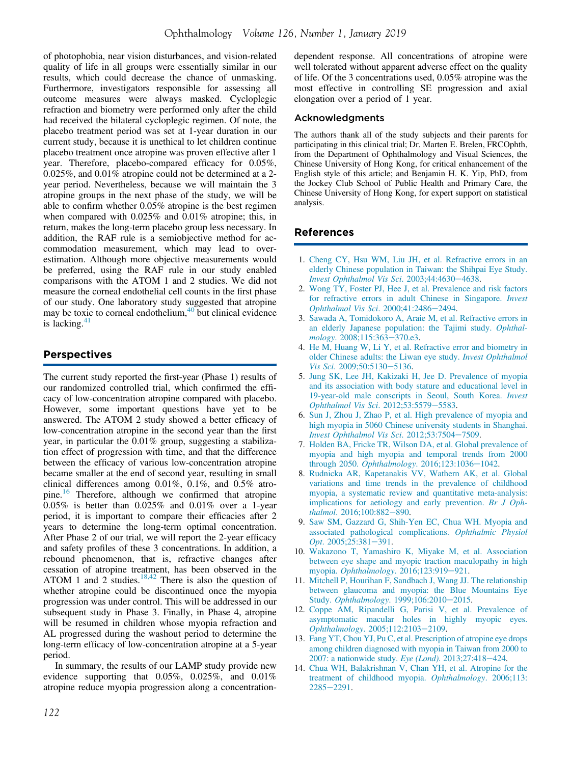<span id="page-9-0"></span>of photophobia, near vision disturbances, and vision-related quality of life in all groups were essentially similar in our results, which could decrease the chance of unmasking. Furthermore, investigators responsible for assessing all outcome measures were always masked. Cycloplegic refraction and biometry were performed only after the child had received the bilateral cycloplegic regimen. Of note, the placebo treatment period was set at 1-year duration in our current study, because it is unethical to let children continue placebo treatment once atropine was proven effective after 1 year. Therefore, placebo-compared efficacy for 0.05%, 0.025%, and 0.01% atropine could not be determined at a 2 year period. Nevertheless, because we will maintain the 3 atropine groups in the next phase of the study, we will be able to confirm whether 0.05% atropine is the best regimen when compared with 0.025% and 0.01% atropine; this, in return, makes the long-term placebo group less necessary. In addition, the RAF rule is a semiobjective method for accommodation measurement, which may lead to overestimation. Although more objective measurements would be preferred, using the RAF rule in our study enabled comparisons with the ATOM 1 and 2 studies. We did not measure the corneal endothelial cell counts in the first phase of our study. One laboratory study suggested that atropine may be toxic to corneal endothelium, $40$  but clinical evidence is lacking. $41$ 

## Perspectives

The current study reported the first-year (Phase 1) results of our randomized controlled trial, which confirmed the efficacy of low-concentration atropine compared with placebo. However, some important questions have yet to be answered. The ATOM 2 study showed a better efficacy of low-concentration atropine in the second year than the first year, in particular the 0.01% group, suggesting a stabilization effect of progression with time, and that the difference between the efficacy of various low-concentration atropine became smaller at the end of second year, resulting in small clinical differences among 0.01%, 0.1%, and 0.5% atropine.[16](#page-10-0) Therefore, although we confirmed that atropine 0.05% is better than 0.025% and 0.01% over a 1-year period, it is important to compare their efficacies after 2 years to determine the long-term optimal concentration. After Phase 2 of our trial, we will report the 2-year efficacy and safety profiles of these 3 concentrations. In addition, a rebound phenomenon, that is, refractive changes after cessation of atropine treatment, has been observed in the ATOM 1 and 2 studies. $18,42$  There is also the question of whether atropine could be discontinued once the myopia progression was under control. This will be addressed in our subsequent study in Phase 3. Finally, in Phase 4, atropine will be resumed in children whose myopia refraction and AL progressed during the washout period to determine the long-term efficacy of low-concentration atropine at a 5-year period.

In summary, the results of our LAMP study provide new evidence supporting that 0.05%, 0.025%, and 0.01% atropine reduce myopia progression along a concentration-

dependent response. All concentrations of atropine were well tolerated without apparent adverse effect on the quality of life. Of the 3 concentrations used, 0.05% atropine was the most effective in controlling SE progression and axial elongation over a period of 1 year.

#### Acknowledgments

The authors thank all of the study subjects and their parents for participating in this clinical trial; Dr. Marten E. Brelen, FRCOphth, from the Department of Ophthalmology and Visual Sciences, the Chinese University of Hong Kong, for critical enhancement of the English style of this article; and Benjamin H. K. Yip, PhD, from the Jockey Club School of Public Health and Primary Care, the Chinese University of Hong Kong, for expert support on statistical analysis.

## References

- 1. [Cheng CY, Hsu WM, Liu JH, et al. Refractive errors in an](http://refhub.elsevier.com/S0161-6420(18)30285-9/sref1) [elderly Chinese population in Taiwan: the Shihpai Eye Study.](http://refhub.elsevier.com/S0161-6420(18)30285-9/sref1) [Invest Ophthalmol Vis Sci](http://refhub.elsevier.com/S0161-6420(18)30285-9/sref1). 2003;44:4630-[4638](http://refhub.elsevier.com/S0161-6420(18)30285-9/sref1).
- 2. [Wong TY, Foster PJ, Hee J, et al. Prevalence and risk factors](http://refhub.elsevier.com/S0161-6420(18)30285-9/sref2) [for refractive errors in adult Chinese in Singapore.](http://refhub.elsevier.com/S0161-6420(18)30285-9/sref2) Invest [Ophthalmol Vis Sci](http://refhub.elsevier.com/S0161-6420(18)30285-9/sref2). 2000;41:2486-[2494](http://refhub.elsevier.com/S0161-6420(18)30285-9/sref2).
- 3. [Sawada A, Tomidokoro A, Araie M, et al. Refractive errors in](http://refhub.elsevier.com/S0161-6420(18)30285-9/sref3) [an elderly Japanese population: the Tajimi study.](http://refhub.elsevier.com/S0161-6420(18)30285-9/sref3) Ophthal-mology[. 2008;115:363](http://refhub.elsevier.com/S0161-6420(18)30285-9/sref3)-[370.e3.](http://refhub.elsevier.com/S0161-6420(18)30285-9/sref3)
- 4. [He M, Huang W, Li Y, et al. Refractive error and biometry in](http://refhub.elsevier.com/S0161-6420(18)30285-9/sref4) [older Chinese adults: the Liwan eye study.](http://refhub.elsevier.com/S0161-6420(18)30285-9/sref4) Invest Ophthalmol Vis Sci[. 2009;50:5130](http://refhub.elsevier.com/S0161-6420(18)30285-9/sref4)-[5136.](http://refhub.elsevier.com/S0161-6420(18)30285-9/sref4)
- 5. [Jung SK, Lee JH, Kakizaki H, Jee D. Prevalence of myopia](http://refhub.elsevier.com/S0161-6420(18)30285-9/sref5) [and its association with body stature and educational level in](http://refhub.elsevier.com/S0161-6420(18)30285-9/sref5) [19-year-old male conscripts in Seoul, South Korea.](http://refhub.elsevier.com/S0161-6420(18)30285-9/sref5) Invest [Ophthalmol Vis Sci](http://refhub.elsevier.com/S0161-6420(18)30285-9/sref5). 2012;53:5579-[5583](http://refhub.elsevier.com/S0161-6420(18)30285-9/sref5).
- 6. [Sun J, Zhou J, Zhao P, et al. High prevalence of myopia and](http://refhub.elsevier.com/S0161-6420(18)30285-9/sref6) [high myopia in 5060 Chinese university students in Shanghai.](http://refhub.elsevier.com/S0161-6420(18)30285-9/sref6) [Invest Ophthalmol Vis Sci](http://refhub.elsevier.com/S0161-6420(18)30285-9/sref6). 2012;53:7504-[7509](http://refhub.elsevier.com/S0161-6420(18)30285-9/sref6).
- 7. [Holden BA, Fricke TR, Wilson DA, et al. Global prevalence of](http://refhub.elsevier.com/S0161-6420(18)30285-9/sref7) [myopia and high myopia and temporal trends from 2000](http://refhub.elsevier.com/S0161-6420(18)30285-9/sref7) through 2050. Ophthalmology[. 2016;123:1036](http://refhub.elsevier.com/S0161-6420(18)30285-9/sref7)-[1042](http://refhub.elsevier.com/S0161-6420(18)30285-9/sref7).
- 8. [Rudnicka AR, Kapetanakis VV, Wathern AK, et al. Global](http://refhub.elsevier.com/S0161-6420(18)30285-9/sref8) [variations and time trends in the prevalence of childhood](http://refhub.elsevier.com/S0161-6420(18)30285-9/sref8) [myopia, a systematic review and quantitative meta-analysis:](http://refhub.elsevier.com/S0161-6420(18)30285-9/sref8) [implications for aetiology and early prevention.](http://refhub.elsevier.com/S0161-6420(18)30285-9/sref8) Br J Oph-thalmol[. 2016;100:882](http://refhub.elsevier.com/S0161-6420(18)30285-9/sref8)-[890](http://refhub.elsevier.com/S0161-6420(18)30285-9/sref8).
- 9. [Saw SM, Gazzard G, Shih-Yen EC, Chua WH. Myopia and](http://refhub.elsevier.com/S0161-6420(18)30285-9/sref9) [associated pathological complications.](http://refhub.elsevier.com/S0161-6420(18)30285-9/sref9) Ophthalmic Physiol  $Opt. 2005; 25:381-391.$  $Opt. 2005; 25:381-391.$
- 10. [Wakazono T, Yamashiro K, Miyake M, et al. Association](http://refhub.elsevier.com/S0161-6420(18)30285-9/sref10) [between eye shape and myopic traction maculopathy in high](http://refhub.elsevier.com/S0161-6420(18)30285-9/sref10) myopia. [Ophthalmology](http://refhub.elsevier.com/S0161-6420(18)30285-9/sref10). 2016;123:919-[921](http://refhub.elsevier.com/S0161-6420(18)30285-9/sref10).
- 11. [Mitchell P, Hourihan F, Sandbach J, Wang JJ. The relationship](http://refhub.elsevier.com/S0161-6420(18)30285-9/sref11) [between glaucoma and myopia: the Blue Mountains Eye](http://refhub.elsevier.com/S0161-6420(18)30285-9/sref11) Study. Ophthalmology[. 1999;106:2010](http://refhub.elsevier.com/S0161-6420(18)30285-9/sref11)-[2015](http://refhub.elsevier.com/S0161-6420(18)30285-9/sref11).
- 12. [Coppe AM, Ripandelli G, Parisi V, et al. Prevalence of](http://refhub.elsevier.com/S0161-6420(18)30285-9/sref12) [asymptomatic macular holes in highly myopic eyes.](http://refhub.elsevier.com/S0161-6420(18)30285-9/sref12) Ophthalmology[. 2005;112:2103](http://refhub.elsevier.com/S0161-6420(18)30285-9/sref12)-[2109](http://refhub.elsevier.com/S0161-6420(18)30285-9/sref12).
- 13. [Fang YT, Chou YJ, Pu C, et al. Prescription of atropine eye drops](http://refhub.elsevier.com/S0161-6420(18)30285-9/sref13) [among children diagnosed with myopia in Taiwan from 2000 to](http://refhub.elsevier.com/S0161-6420(18)30285-9/sref13) [2007: a nationwide study.](http://refhub.elsevier.com/S0161-6420(18)30285-9/sref13) Eye (Lond). 2013;27:418-[424](http://refhub.elsevier.com/S0161-6420(18)30285-9/sref13).
- 14. [Chua WH, Balakrishnan V, Chan YH, et al. Atropine for the](http://refhub.elsevier.com/S0161-6420(18)30285-9/sref14) [treatment of childhood myopia.](http://refhub.elsevier.com/S0161-6420(18)30285-9/sref14) Ophthalmology. 2006;113:  $2285 - 2291.$  $2285 - 2291.$  $2285 - 2291.$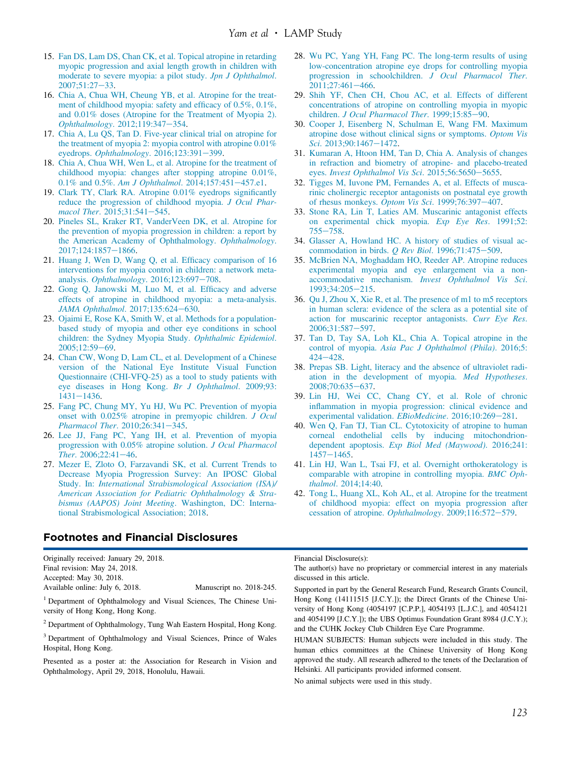- <span id="page-10-0"></span>15. [Fan DS, Lam DS, Chan CK, et al. Topical atropine in retarding](http://refhub.elsevier.com/S0161-6420(18)30285-9/sref15) [myopic progression and axial length growth in children with](http://refhub.elsevier.com/S0161-6420(18)30285-9/sref15) [moderate to severe myopia: a pilot study.](http://refhub.elsevier.com/S0161-6420(18)30285-9/sref15) Jpn J Ophthalmol. [2007;51:27](http://refhub.elsevier.com/S0161-6420(18)30285-9/sref15)-[33](http://refhub.elsevier.com/S0161-6420(18)30285-9/sref15).
- 16. [Chia A, Chua WH, Cheung YB, et al. Atropine for the treat](http://refhub.elsevier.com/S0161-6420(18)30285-9/sref16)[ment of childhood myopia: safety and ef](http://refhub.elsevier.com/S0161-6420(18)30285-9/sref16)ficacy of 0.5%, 0.1%, [and 0.01% doses \(Atropine for the Treatment of Myopia 2\).](http://refhub.elsevier.com/S0161-6420(18)30285-9/sref16) [Ophthalmology](http://refhub.elsevier.com/S0161-6420(18)30285-9/sref16). 2012;119:347-[354](http://refhub.elsevier.com/S0161-6420(18)30285-9/sref16).
- 17. [Chia A, Lu QS, Tan D. Five-year clinical trial on atropine for](http://refhub.elsevier.com/S0161-6420(18)30285-9/sref17) [the treatment of myopia 2: myopia control with atropine 0.01%](http://refhub.elsevier.com/S0161-6420(18)30285-9/sref17) eyedrops. [Ophthalmology](http://refhub.elsevier.com/S0161-6420(18)30285-9/sref17). 2016;123:391-[399.](http://refhub.elsevier.com/S0161-6420(18)30285-9/sref17)
- 18. [Chia A, Chua WH, Wen L, et al. Atropine for the treatment of](http://refhub.elsevier.com/S0161-6420(18)30285-9/sref18) [childhood myopia: changes after stopping atropine 0.01%,](http://refhub.elsevier.com/S0161-6420(18)30285-9/sref18) 0.1% and 0.5%. [Am J Ophthalmol](http://refhub.elsevier.com/S0161-6420(18)30285-9/sref18). 2014;157:451-[457.e1](http://refhub.elsevier.com/S0161-6420(18)30285-9/sref18).
- 19. [Clark TY, Clark RA. Atropine 0.01% eyedrops signi](http://refhub.elsevier.com/S0161-6420(18)30285-9/sref19)ficantly [reduce the progression of childhood myopia.](http://refhub.elsevier.com/S0161-6420(18)30285-9/sref19) J Ocul Pharmacol Ther.  $2015;31:541-545$  $2015;31:541-545$ .
- 20. [Pineles SL, Kraker RT, VanderVeen DK, et al. Atropine for](http://refhub.elsevier.com/S0161-6420(18)30285-9/sref20) [the prevention of myopia progression in children: a report by](http://refhub.elsevier.com/S0161-6420(18)30285-9/sref20) [the American Academy of Ophthalmology.](http://refhub.elsevier.com/S0161-6420(18)30285-9/sref20) Ophthalmology. [2017;124:1857](http://refhub.elsevier.com/S0161-6420(18)30285-9/sref20)-[1866.](http://refhub.elsevier.com/S0161-6420(18)30285-9/sref20)
- 21. [Huang J, Wen D, Wang Q, et al. Ef](http://refhub.elsevier.com/S0161-6420(18)30285-9/sref21)ficacy comparison of 16 [interventions for myopia control in children: a network meta-](http://refhub.elsevier.com/S0161-6420(18)30285-9/sref21)analysis. [Ophthalmology](http://refhub.elsevier.com/S0161-6420(18)30285-9/sref21).  $2016;123:697-708$  $2016;123:697-708$ .
- 22. [Gong Q, Janowski M, Luo M, et al. Ef](http://refhub.elsevier.com/S0161-6420(18)30285-9/sref22)ficacy and adverse [effects of atropine in childhood myopia: a meta-analysis.](http://refhub.elsevier.com/S0161-6420(18)30285-9/sref22) [JAMA Ophthalmol](http://refhub.elsevier.com/S0161-6420(18)30285-9/sref22). 2017;135:624-[630.](http://refhub.elsevier.com/S0161-6420(18)30285-9/sref22)
- 23. [Ojaimi E, Rose KA, Smith W, et al. Methods for a population](http://refhub.elsevier.com/S0161-6420(18)30285-9/sref23)[based study of myopia and other eye conditions in school](http://refhub.elsevier.com/S0161-6420(18)30285-9/sref23) [children: the Sydney Myopia Study.](http://refhub.elsevier.com/S0161-6420(18)30285-9/sref23) Ophthalmic Epidemiol. [2005;12:59](http://refhub.elsevier.com/S0161-6420(18)30285-9/sref23)-[69](http://refhub.elsevier.com/S0161-6420(18)30285-9/sref23).
- 24. [Chan CW, Wong D, Lam CL, et al. Development of a Chinese](http://refhub.elsevier.com/S0161-6420(18)30285-9/sref24) [version of the National Eye Institute Visual Function](http://refhub.elsevier.com/S0161-6420(18)30285-9/sref24) [Questionnaire \(CHI-VFQ-25\) as a tool to study patients with](http://refhub.elsevier.com/S0161-6420(18)30285-9/sref24) [eye diseases in Hong Kong.](http://refhub.elsevier.com/S0161-6420(18)30285-9/sref24) Br J Ophthalmol. 2009;93:  $1431 - 1436.$  $1431 - 1436.$  $1431 - 1436.$
- 25. [Fang PC, Chung MY, Yu HJ, Wu PC. Prevention of myopia](http://refhub.elsevier.com/S0161-6420(18)30285-9/sref25) [onset with 0.025% atropine in premyopic children.](http://refhub.elsevier.com/S0161-6420(18)30285-9/sref25) J Ocul [Pharmacol Ther](http://refhub.elsevier.com/S0161-6420(18)30285-9/sref25).  $2010;26:341-345$ .
- 26. [Lee JJ, Fang PC, Yang IH, et al. Prevention of myopia](http://refhub.elsevier.com/S0161-6420(18)30285-9/sref26) [progression with 0.05% atropine solution.](http://refhub.elsevier.com/S0161-6420(18)30285-9/sref26) J Ocul Pharmacol Ther.  $2006;22:41-46$  $2006;22:41-46$ .
- 27. [Mezer E, Zloto O, Farzavandi SK, et al. Current Trends to](http://refhub.elsevier.com/S0161-6420(18)30285-9/sref27) [Decrease Myopia Progression Survey: An IPOSC Global](http://refhub.elsevier.com/S0161-6420(18)30285-9/sref27) Study. In: [International Strabismological Association \(ISA\)/](http://refhub.elsevier.com/S0161-6420(18)30285-9/sref27) [American Association for Pediatric Ophthalmology & Stra](http://refhub.elsevier.com/S0161-6420(18)30285-9/sref27)[bismus \(AAPOS\) Joint Meeting](http://refhub.elsevier.com/S0161-6420(18)30285-9/sref27). Washington, DC: Interna[tional Strabismological Association; 2018](http://refhub.elsevier.com/S0161-6420(18)30285-9/sref27).

## Footnotes and Financial Disclosures

Originally received: January 29, 2018. Final revision: May 24, 2018. Accepted: May 30, 2018.

Available online: July 6, 2018. Manuscript no. 2018-245.

<sup>1</sup> Department of Ophthalmology and Visual Sciences, The Chinese University of Hong Kong, Hong Kong.

<sup>2</sup> Department of Ophthalmology, Tung Wah Eastern Hospital, Hong Kong.

<sup>3</sup> Department of Ophthalmology and Visual Sciences, Prince of Wales Hospital, Hong Kong.

Presented as a poster at: the Association for Research in Vision and Ophthalmology, April 29, 2018, Honolulu, Hawaii.

- 28. [Wu PC, Yang YH, Fang PC. The long-term results of using](http://refhub.elsevier.com/S0161-6420(18)30285-9/sref28) [low-concentration atropine eye drops for controlling myopia](http://refhub.elsevier.com/S0161-6420(18)30285-9/sref28) [progression in schoolchildren.](http://refhub.elsevier.com/S0161-6420(18)30285-9/sref28) J Ocul Pharmacol Ther. [2011;27:461](http://refhub.elsevier.com/S0161-6420(18)30285-9/sref28)-[466](http://refhub.elsevier.com/S0161-6420(18)30285-9/sref28).
- 29. [Shih YF, Chen CH, Chou AC, et al. Effects of different](http://refhub.elsevier.com/S0161-6420(18)30285-9/sref29) [concentrations of atropine on controlling myopia in myopic](http://refhub.elsevier.com/S0161-6420(18)30285-9/sref29) children. [J Ocul Pharmacol Ther](http://refhub.elsevier.com/S0161-6420(18)30285-9/sref29). 1999;15:85-[90](http://refhub.elsevier.com/S0161-6420(18)30285-9/sref29).
- 30. [Cooper J, Eisenberg N, Schulman E, Wang FM. Maximum](http://refhub.elsevier.com/S0161-6420(18)30285-9/sref30) [atropine dose without clinical signs or symptoms.](http://refhub.elsevier.com/S0161-6420(18)30285-9/sref30) Optom Vis Sci[. 2013;90:1467](http://refhub.elsevier.com/S0161-6420(18)30285-9/sref30)-[1472](http://refhub.elsevier.com/S0161-6420(18)30285-9/sref30).
- 31. [Kumaran A, Htoon HM, Tan D, Chia A. Analysis of changes](http://refhub.elsevier.com/S0161-6420(18)30285-9/sref31) [in refraction and biometry of atropine- and placebo-treated](http://refhub.elsevier.com/S0161-6420(18)30285-9/sref31) eyes. [Invest Ophthalmol Vis Sci](http://refhub.elsevier.com/S0161-6420(18)30285-9/sref31). 2015;56:5650-[5655](http://refhub.elsevier.com/S0161-6420(18)30285-9/sref31).
- 32. [Tigges M, Iuvone PM, Fernandes A, et al. Effects of musca](http://refhub.elsevier.com/S0161-6420(18)30285-9/sref32)[rinic cholinergic receptor antagonists on postnatal eye growth](http://refhub.elsevier.com/S0161-6420(18)30285-9/sref32) [of rhesus monkeys.](http://refhub.elsevier.com/S0161-6420(18)30285-9/sref32) Optom Vis Sci. 1999;76:397-[407](http://refhub.elsevier.com/S0161-6420(18)30285-9/sref32).
- 33. [Stone RA, Lin T, Laties AM. Muscarinic antagonist effects](http://refhub.elsevier.com/S0161-6420(18)30285-9/sref33) [on experimental chick myopia.](http://refhub.elsevier.com/S0161-6420(18)30285-9/sref33) Exp Eye Res. 1991;52:  $755 - 758.$  $755 - 758.$  $755 - 758.$
- 34. [Glasser A, Howland HC. A history of studies of visual ac](http://refhub.elsevier.com/S0161-6420(18)30285-9/sref34)[commodation in birds.](http://refhub.elsevier.com/S0161-6420(18)30285-9/sref34)  $Q$  Rev Biol. 1996;71:475-[509.](http://refhub.elsevier.com/S0161-6420(18)30285-9/sref34)
- 35. [McBrien NA, Moghaddam HO, Reeder AP. Atropine reduces](http://refhub.elsevier.com/S0161-6420(18)30285-9/sref35) [experimental myopia and eye enlargement via a non](http://refhub.elsevier.com/S0161-6420(18)30285-9/sref35)accommodative mechanism. [Invest Ophthalmol Vis Sci](http://refhub.elsevier.com/S0161-6420(18)30285-9/sref35). [1993;34:205](http://refhub.elsevier.com/S0161-6420(18)30285-9/sref35)-[215](http://refhub.elsevier.com/S0161-6420(18)30285-9/sref35).
- 36. [Qu J, Zhou X, Xie R, et al. The presence of m1 to m5 receptors](http://refhub.elsevier.com/S0161-6420(18)30285-9/sref36) [in human sclera: evidence of the sclera as a potential site of](http://refhub.elsevier.com/S0161-6420(18)30285-9/sref36) [action for muscarinic receptor antagonists.](http://refhub.elsevier.com/S0161-6420(18)30285-9/sref36) Curr Eye Res. [2006;31:587](http://refhub.elsevier.com/S0161-6420(18)30285-9/sref36)-[597](http://refhub.elsevier.com/S0161-6420(18)30285-9/sref36).
- 37. [Tan D, Tay SA, Loh KL, Chia A. Topical atropine in the](http://refhub.elsevier.com/S0161-6420(18)30285-9/sref37) control of myopia. [Asia Pac J Ophthalmol \(Phila\)](http://refhub.elsevier.com/S0161-6420(18)30285-9/sref37). 2016;5:  $424 - 428.$  $424 - 428.$  $424 - 428.$
- 38. [Prepas SB. Light, literacy and the absence of ultraviolet radi](http://refhub.elsevier.com/S0161-6420(18)30285-9/sref38)[ation in the development of myopia.](http://refhub.elsevier.com/S0161-6420(18)30285-9/sref38) Med Hypotheses. [2008;70:635](http://refhub.elsevier.com/S0161-6420(18)30285-9/sref38)-[637](http://refhub.elsevier.com/S0161-6420(18)30285-9/sref38).
- 39. [Lin HJ, Wei CC, Chang CY, et al. Role of chronic](http://refhub.elsevier.com/S0161-6420(18)30285-9/sref39) infl[ammation in myopia progression: clinical evidence and](http://refhub.elsevier.com/S0161-6420(18)30285-9/sref39) [experimental validation.](http://refhub.elsevier.com/S0161-6420(18)30285-9/sref39) EBioMedicine. 2016;10:269-[281](http://refhub.elsevier.com/S0161-6420(18)30285-9/sref39).
- 40. [Wen Q, Fan TJ, Tian CL. Cytotoxicity of atropine to human](http://refhub.elsevier.com/S0161-6420(18)30285-9/sref40) [corneal endothelial cells by inducing mitochondrion](http://refhub.elsevier.com/S0161-6420(18)30285-9/sref40)dependent apoptosis. [Exp Biol Med \(Maywood\)](http://refhub.elsevier.com/S0161-6420(18)30285-9/sref40). 2016;241:  $1457 - 1465$  $1457 - 1465$ .
- 41. [Lin HJ, Wan L, Tsai FJ, et al. Overnight orthokeratology is](http://refhub.elsevier.com/S0161-6420(18)30285-9/sref41) [comparable with atropine in controlling myopia.](http://refhub.elsevier.com/S0161-6420(18)30285-9/sref41) BMC Ophthalmol[. 2014;14:40](http://refhub.elsevier.com/S0161-6420(18)30285-9/sref41).
- 42. [Tong L, Huang XL, Koh AL, et al. Atropine for the treatment](http://refhub.elsevier.com/S0161-6420(18)30285-9/sref42) [of childhood myopia: effect on myopia progression after](http://refhub.elsevier.com/S0161-6420(18)30285-9/sref42) [cessation of atropine.](http://refhub.elsevier.com/S0161-6420(18)30285-9/sref42) Ophthalmology. 2009;116:572-[579.](http://refhub.elsevier.com/S0161-6420(18)30285-9/sref42)

The author(s) have no proprietary or commercial interest in any materials discussed in this article.

Supported in part by the General Research Fund, Research Grants Council, Hong Kong (14111515 [J.C.Y.]); the Direct Grants of the Chinese University of Hong Kong (4054197 [C.P.P.], 4054193 [L.J.C.], and 4054121 and 4054199 [J.C.Y.]); the UBS Optimus Foundation Grant 8984 (J.C.Y.); and the CUHK Jockey Club Children Eye Care Programme.

HUMAN SUBJECTS: Human subjects were included in this study. The human ethics committees at the Chinese University of Hong Kong approved the study. All research adhered to the tenets of the Declaration of Helsinki. All participants provided informed consent.

No animal subjects were used in this study.

Financial Disclosure(s):